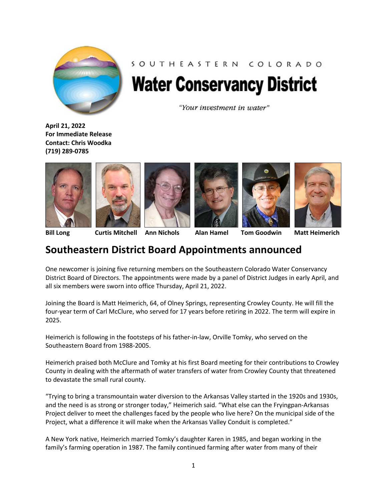

## SOUTHEASTERN COLORADO **Water Conservancy District**

"Your investment in water"

**April 21, 2022 For Immediate Release Contact: Chris Woodka (719) 289-0785**













**Bill Long Curtis Mitchell Ann Nichols Alan Hamel Tom Goodwin Matt Heimerich**

## **Southeastern District Board Appointments announced**

One newcomer is joining five returning members on the Southeastern Colorado Water Conservancy District Board of Directors. The appointments were made by a panel of District Judges in early April, and all six members were sworn into office Thursday, April 21, 2022.

Joining the Board is Matt Heimerich, 64, of Olney Springs, representing Crowley County. He will fill the four-year term of Carl McClure, who served for 17 years before retiring in 2022. The term will expire in 2025.

Heimerich is following in the footsteps of his father-in-law, Orville Tomky, who served on the Southeastern Board from 1988-2005.

Heimerich praised both McClure and Tomky at his first Board meeting for their contributions to Crowley County in dealing with the aftermath of water transfers of water from Crowley County that threatened to devastate the small rural county.

"Trying to bring a transmountain water diversion to the Arkansas Valley started in the 1920s and 1930s, and the need is as strong or stronger today," Heimerich said. "What else can the Fryingpan-Arkansas Project deliver to meet the challenges faced by the people who live here? On the municipal side of the Project, what a difference it will make when the Arkansas Valley Conduit is completed."

A New York native, Heimerich married Tomky's daughter Karen in 1985, and began working in the family's farming operation in 1987. The family continued farming after water from many of their